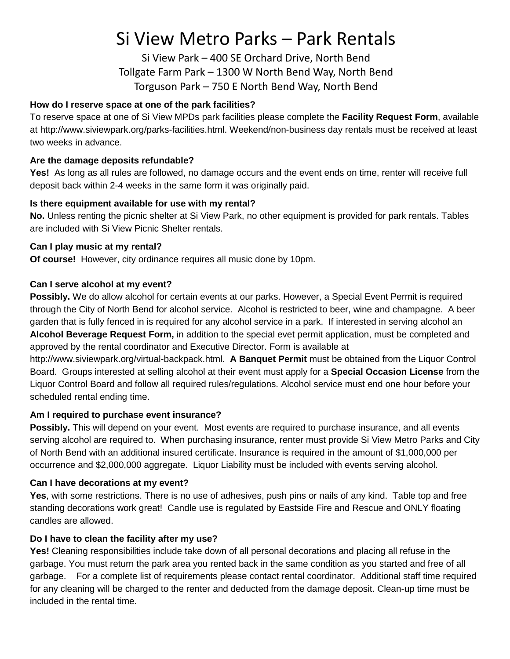# Si View Metro Parks – Park Rentals

Si View Park – 400 SE Orchard Drive, North Bend Tollgate Farm Park – 1300 W North Bend Way, North Bend Torguson Park – 750 E North Bend Way, North Bend

# **How do I reserve space at one of the park facilities?**

To reserve space at one of Si View MPDs park facilities please complete the **Facility Request Form**, available at http://www.siviewpark.org/parks-facilities.html. Weekend/non-business day rentals must be received at least two weeks in advance.

# **Are the damage deposits refundable?**

**Yes!** As long as all rules are followed, no damage occurs and the event ends on time, renter will receive full deposit back within 2-4 weeks in the same form it was originally paid.

# **Is there equipment available for use with my rental?**

**No.** Unless renting the picnic shelter at Si View Park, no other equipment is provided for park rentals. Tables are included with Si View Picnic Shelter rentals.

# **Can I play music at my rental?**

**Of course!** However, city ordinance requires all music done by 10pm.

# **Can I serve alcohol at my event?**

**Possibly.** We do allow alcohol for certain events at our parks. However, a Special Event Permit is required through the City of North Bend for alcohol service. Alcohol is restricted to beer, wine and champagne. A beer garden that is fully fenced in is required for any alcohol service in a park. If interested in serving alcohol an **Alcohol Beverage Request Form,** in addition to the special evet permit application, must be completed and approved by the rental coordinator and Executive Director. Form is available at

http://www.siviewpark.org/virtual-backpack.html. **A Banquet Permit** must be obtained from the Liquor Control Board. Groups interested at selling alcohol at their event must apply for a **Special Occasion License** from the Liquor Control Board and follow all required rules/regulations. Alcohol service must end one hour before your scheduled rental ending time.

# **Am I required to purchase event insurance?**

**Possibly.** This will depend on your event. Most events are required to purchase insurance, and all events serving alcohol are required to. When purchasing insurance, renter must provide Si View Metro Parks and City of North Bend with an additional insured certificate. Insurance is required in the amount of \$1,000,000 per occurrence and \$2,000,000 aggregate. Liquor Liability must be included with events serving alcohol.

# **Can I have decorations at my event?**

**Yes**, with some restrictions. There is no use of adhesives, push pins or nails of any kind. Table top and free standing decorations work great! Candle use is regulated by Eastside Fire and Rescue and ONLY floating candles are allowed.

# **Do I have to clean the facility after my use?**

**Yes!** Cleaning responsibilities include take down of all personal decorations and placing all refuse in the garbage. You must return the park area you rented back in the same condition as you started and free of all garbage. For a complete list of requirements please contact rental coordinator. Additional staff time required for any cleaning will be charged to the renter and deducted from the damage deposit. Clean-up time must be included in the rental time.